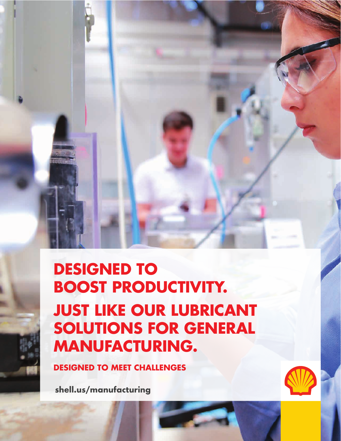# **DESIGNED TO BOOST PRODUCTIVITY. JUST LIKE OUR LUBRICANT SOLUTIONS FOR GENERAL MANUFACTURING.**

**DESIGNED TO MEET CHALLENGES**

**shell.us/manufacturing**

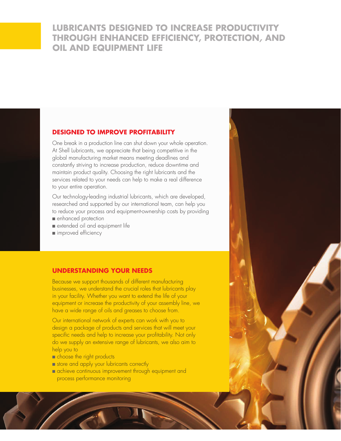## **LUBRICANTS DESIGNED TO INCREASE PRODUCTIVITY THROUGH ENHANCED EFFICIENCY, PROTECTION, AND OIL AND EQUIPMENT LIFE**

## **DESIGNED TO IMPROVE PROFITABILITY**

One break in a production line can shut down your whole operation. At Shell Lubricants, we appreciate that being competitive in the global manufacturing market means meeting deadlines and constantly striving to increase production, reduce downtime and maintain product quality. Choosing the right lubricants and the services related to your needs can help to make a real difference to your entire operation.

Our technology-leading industrial lubricants, which are developed, researched and supported by our international team, can help you to reduce your process and equipment-ownership costs by providing

- enhanced protection
- extended oil and equipment life
- improved efficiency

#### **UNDERSTANDING YOUR NEEDS**

Because we support thousands of different manufacturing businesses, we understand the crucial roles that lubricants play in your facility. Whether you want to extend the life of your equipment or increase the productivity of your assembly line, we have a wide range of oils and greases to choose from.

Our international network of experts can work with you to design a package of products and services that will meet your specific needs and help to increase your profitability. Not only do we supply an extensive range of lubricants, we also aim to help you to

- choose the right products
- store and apply your lubricants correctly
- achieve continuous improvement through equipment and process performance monitoring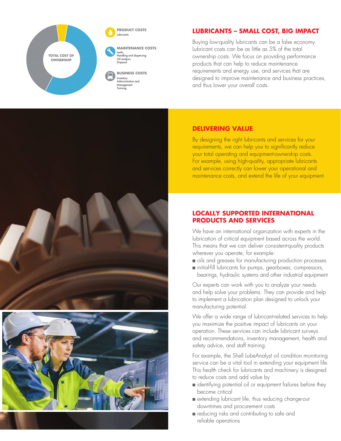

## **LUBRICANTS – SMALL COST, BIG IMPACT**

Buying low-quality lubricants can be a false economy. Lubricant costs can be as little as 5% of the total ownership costs. We focus on providing performance products that can help to reduce maintenance requirements and energy use, and services that are designed to improve maintenance and business practices, and thus lower your overall costs.





## **DELIVERING VALUE**

By designing the right lubricants and services for your requirements, we can help you to significantly reduce your total operating and equipment-ownership costs. For example, using high-quality, appropriate lubricants and services correctly can lower your operational and maintenance costs, and extend the life of your equipment.

### **LOCALLY SUPPORTED INTERNATIONAL PRODUCTS AND SERVICES**

We have an international organization with experts in the lubrication of critical equipment based across the world. This means that we can deliver consistent-quality products wherever you operate, for example:

- oils and greases for manufacturing production processes
- initial-fill lubricants for pumps, gearboxes, compressors, bearings, hydraulic systems and other industrial equipment

Our experts can work with you to analyze your needs and help solve your problems. They can provide and help to implement a lubrication plan designed to unlock your manufacturing potential.

We offer a wide range of lubricant-related services to help you maximize the positive impact of lubricants on your operation. These services can include lubricant surveys and recommendations, inventory management, health and safety advice, and staff training.

For example, the Shell LubeAnalyst oil condition monitoring service can be a vital tool in extending your equipment life. This health check for lubricants and machinery is designed to reduce costs and add value by

- identifying potential oil or equipment failures before they become critical
- extending lubricant life, thus reducing change-out downtimes and procurement costs
- reducing risks and contributing to safe and reliable operations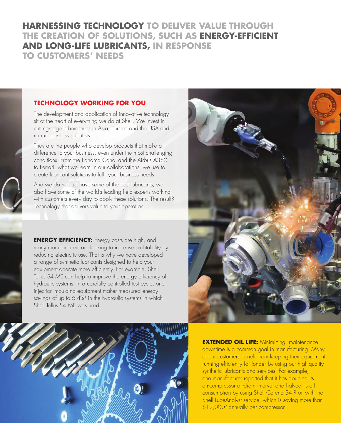## **HARNESSING TECHNOLOGY TO DELIVER VALUE THROUGH THE CREATION OF SOLUTIONS, SUCH AS ENERGY-EFFICIENT AND LONG-LIFE LUBRICANTS, IN RESPONSE TO CUSTOMERS' NEEDS**

## **TECHNOLOGY WORKING FOR YOU**

The development and application of innovative technology sit at the heart of everything we do at Shell. We invest in cutting-edge laboratories in Asia, Europe and the USA and recruit top-class scientists.

They are the people who develop products that make a difference to your business, even under the most challenging conditions. From the Panama Canal and the Airbus A380 to Ferrari, what we learn in our collaborations, we use to create lubricant solutions to fulfil your business needs.

And we do not just have some of the best lubricants, we also have some of the world's leading field experts working with customers every day to apply these solutions. The result? Technology that delivers value to your operation.

**ENERGY EFFICIENCY:** Energy costs are high, and many manufacturers are looking to increase profitability by reducing electricity use. That is why we have developed a range of synthetic lubricants designed to help your equipment operate more efficiently. For example, Shell Tellus S4 ME can help to improve the energy efficiency of hydraulic systems. In a carefully controlled test cycle, one injection moulding equipment maker measured energy savings of up to  $6.4\%$ <sup>1</sup> in the hydraulic systems in which Shell Tellus S4 ME was used.





**EXTENDED OIL LIFE: Minimizing maintenance** downtime is a common goal in manufacturing. Many of our customers benefit from keeping their equipment running efficiently for longer by using our high-quality synthetic lubricants and services. For example, one manufacturer reported that it has doubled its air-compressor oil-drain interval and halved its oil consumption by using Shell Corena S4 R oil with the Shell LubeAnalyst service, which is saving more than \$12,0002 annually per compressor.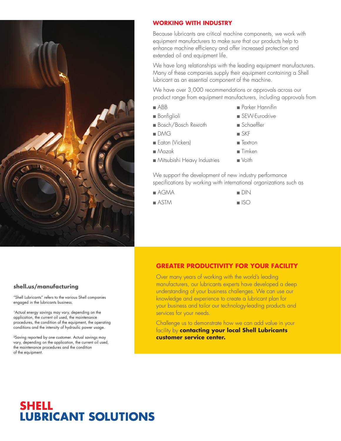

## **WORKING WITH INDUSTRY**

Because lubricants are critical machine components, we work with equipment manufacturers to make sure that our products help to enhance machine efficiency and offer increased protection and extended oil and equipment life.

We have long relationships with the leading equipment manufacturers. Many of these companies supply their equipment containing a Shell lubricant as an essential component of the machine.

We have over 3,000 recommendations or approvals across our product range from equipment manufacturers, including approvals from

- ABB
- Bonfiglioli
- Bosch/Bosch Rexroth
- DMG
- Eaton (Vickers)
- Mazak
- Mitsubishi Heavy Industries
- Parker Hannifin
- SEW-Eurodrive
- Schaeffler
- SKF
- Textron
- Timken
- Voith

We support the development of new industry performance specifications by working with international organizations such as

- AGMA
- ASTM
- DIN
- ISO

## **GREATER PRODUCTIVITY FOR YOUR FACILITY**

Over many years of working with the world's leading manufacturers, our lubricants experts have developed a deep understanding of your business challenges. We can use our knowledge and experience to create a lubricant plan for your business and tailor our technology-leading products and services for your needs.

Challenge us to demonstrate how we can add value in your facility by **contacting your local Shell Lubricants customer service center.**

#### **shell.us/manufacturing**

"Shell Lubricants" refers to the various Shell companies engaged in the lubricants business.

<sup>1</sup>Actual energy savings may vary, depending on the application, the current oil used, the maintenance procedures, the condition of the equipment, the operating conditions and the intensity of hydraulic power usage.

²Saving reported by one customer. Actual savings may vary, depending on the application, the current oil used, the maintenance procedures and the condition of the equipment.

## **SHELL LUBRICANT SOLUTIONS**